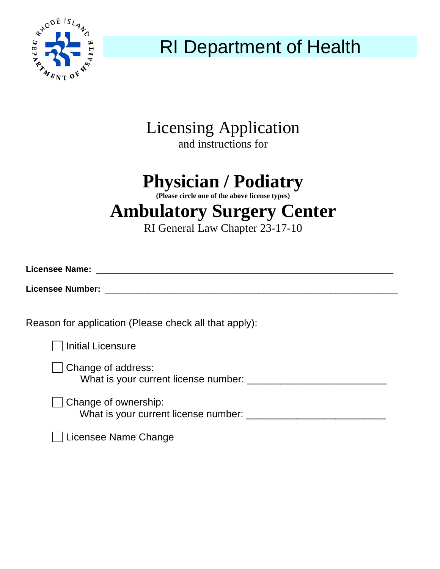

RI Department of Health

### Licensing Application and instructions for

# **Physician / Podiatry**

**(Please circle one of the above license types)** 

## **Ambulatory Surgery Center**

RI General Law Chapter 23-17-10

| <b>Licensee Name:</b>                                                                                                                                                                                                              |  |  |
|------------------------------------------------------------------------------------------------------------------------------------------------------------------------------------------------------------------------------------|--|--|
| <b>Licensee Number:</b> And the state of the state of the state of the state of the state of the state of the state of the state of the state of the state of the state of the state of the state of the state of the state of the |  |  |
| Reason for application (Please check all that apply):                                                                                                                                                                              |  |  |
| <b>Initial Licensure</b>                                                                                                                                                                                                           |  |  |
| $\Box$ Change of address:<br>What is your current license number: _________________                                                                                                                                                |  |  |
| Change of ownership:<br>What is your current license number:                                                                                                                                                                       |  |  |
| Licensee Name Change                                                                                                                                                                                                               |  |  |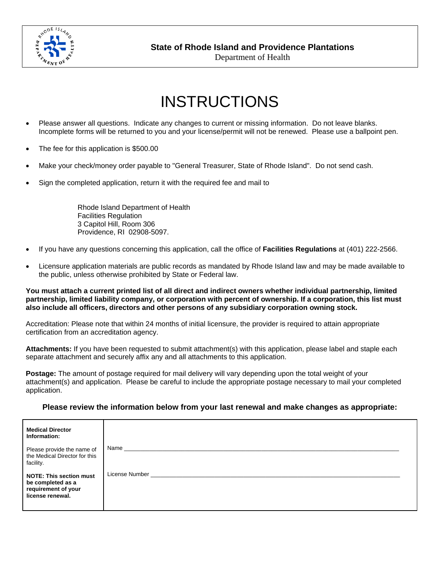

**State of Rhode Island and Providence Plantations** 

Department of Health

## INSTRUCTIONS

- Please answer all questions. Indicate any changes to current or missing information. Do not leave blanks. Incomplete forms will be returned to you and your license/permit will not be renewed. Please use a ballpoint pen.
- The fee for this application is \$500.00
- Make your check/money order payable to "General Treasurer, State of Rhode Island". Do not send cash.
- Sign the completed application, return it with the required fee and mail to

 Rhode Island Department of Health Facilities Regulation 3 Capitol Hill, Room 306 Providence, RI 02908-5097.

- If you have any questions concerning this application, call the office of **Facilities Regulations** at (401) 222-2566.
- Licensure application materials are public records as mandated by Rhode Island law and may be made available to the public, unless otherwise prohibited by State or Federal law.

**You must attach a current printed list of all direct and indirect owners whether individual partnership, limited partnership, limited liability company, or corporation with percent of ownership. If a corporation, this list must also include all officers, directors and other persons of any subsidiary corporation owning stock.** 

Accreditation: Please note that within 24 months of initial licensure, the provider is required to attain appropriate certification from an accreditation agency.

**Attachments:** If you have been requested to submit attachment(s) with this application, please label and staple each separate attachment and securely affix any and all attachments to this application.

**Postage:** The amount of postage required for mail delivery will vary depending upon the total weight of your attachment(s) and application. Please be careful to include the appropriate postage necessary to mail your completed application.

#### **Please review the information below from your last renewal and make changes as appropriate:**

| <b>Medical Director</b><br>Information:                                                        |                |
|------------------------------------------------------------------------------------------------|----------------|
| Please provide the name of<br>the Medical Director for this<br>facility.                       | Name           |
| <b>NOTE: This section must</b><br>be completed as a<br>requirement of your<br>license renewal. | License Number |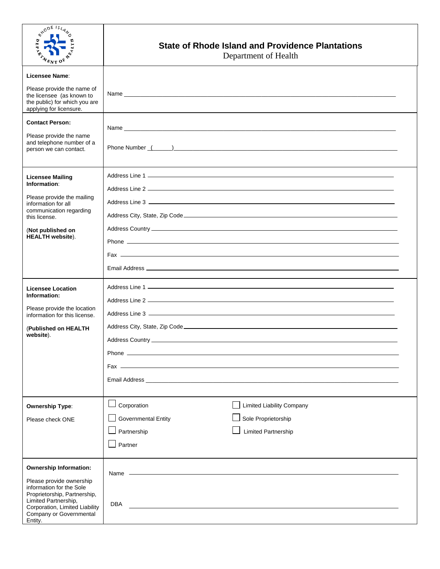| $4^{4^{0^{0^{18}}}}$ = $4^{4}$<br>$E_{NT}$ O                                                                                                             | <b>State of Rhode Island and Providence Plantations</b><br>Department of Health                                                                                                                                                      |
|----------------------------------------------------------------------------------------------------------------------------------------------------------|--------------------------------------------------------------------------------------------------------------------------------------------------------------------------------------------------------------------------------------|
| Licensee Name:                                                                                                                                           |                                                                                                                                                                                                                                      |
| Please provide the name of<br>the licensee (as known to<br>the public) for which you are<br>applying for licensure.                                      |                                                                                                                                                                                                                                      |
| <b>Contact Person:</b>                                                                                                                                   |                                                                                                                                                                                                                                      |
| Please provide the name<br>and telephone number of a<br>person we can contact.                                                                           | Phone Number (Changel Communication of the Communication of the Communication of the Communication of the Communication of the Communication of the Communication of the Communication of the Communication of the Communicati       |
| <b>Licensee Mailing</b>                                                                                                                                  |                                                                                                                                                                                                                                      |
| Information:                                                                                                                                             |                                                                                                                                                                                                                                      |
| Please provide the mailing<br>information for all                                                                                                        |                                                                                                                                                                                                                                      |
| communication regarding<br>this license.                                                                                                                 |                                                                                                                                                                                                                                      |
| (Not published on                                                                                                                                        |                                                                                                                                                                                                                                      |
| <b>HEALTH</b> website).                                                                                                                                  |                                                                                                                                                                                                                                      |
|                                                                                                                                                          |                                                                                                                                                                                                                                      |
|                                                                                                                                                          |                                                                                                                                                                                                                                      |
| <b>Licensee Location</b>                                                                                                                                 |                                                                                                                                                                                                                                      |
| Information:                                                                                                                                             |                                                                                                                                                                                                                                      |
| Please provide the location<br>information for this license.                                                                                             |                                                                                                                                                                                                                                      |
| (Published on HEALTH                                                                                                                                     |                                                                                                                                                                                                                                      |
| website).                                                                                                                                                |                                                                                                                                                                                                                                      |
|                                                                                                                                                          |                                                                                                                                                                                                                                      |
|                                                                                                                                                          |                                                                                                                                                                                                                                      |
|                                                                                                                                                          | <b>Email Address Community of the Community of the Community of the Community of the Community of the Community of the Community of the Community of the Community of the Community of the Community of the Community of the Com</b> |
| <b>Ownership Type:</b>                                                                                                                                   | Corporation<br>Limited Liability Company                                                                                                                                                                                             |
| Please check ONE                                                                                                                                         | Sole Proprietorship<br><b>Governmental Entity</b>                                                                                                                                                                                    |
|                                                                                                                                                          | Partnership<br><b>Limited Partnership</b>                                                                                                                                                                                            |
|                                                                                                                                                          | Partner                                                                                                                                                                                                                              |
| <b>Ownership Information:</b>                                                                                                                            |                                                                                                                                                                                                                                      |
| Please provide ownership                                                                                                                                 | Name ————————————————————                                                                                                                                                                                                            |
| information for the Sole<br>Proprietorship, Partnership,<br>Limited Partnership,<br>Corporation, Limited Liability<br>Company or Governmental<br>Entity. | <b>DBA</b><br><u> 1989 - Johann John Stone, markin film fan it ferfing fan it ferfing fan it ferfing fan it ferfing fan it ferfi</u>                                                                                                 |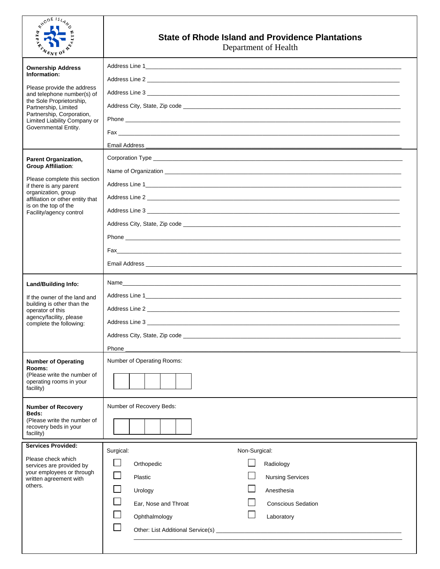| $e^{x^{10^{D^E}}/4}$<br>$\overline{a}$<br>$\tau_{k_{\rm NT}}$                                                                                                                                                                                 | <b>State of Rhode Island and Providence Plantations</b><br>Department of Health                                                                                                                          |
|-----------------------------------------------------------------------------------------------------------------------------------------------------------------------------------------------------------------------------------------------|----------------------------------------------------------------------------------------------------------------------------------------------------------------------------------------------------------|
| <b>Ownership Address</b><br>Information:<br>Please provide the address<br>and telephone number(s) of<br>the Sole Proprietorship,<br>Partnership, Limited<br>Partnership, Corporation,<br>Limited Liability Company or<br>Governmental Entity. | Email Address                                                                                                                                                                                            |
| <b>Parent Organization,</b><br><b>Group Affiliation:</b><br>Please complete this section<br>if there is any parent<br>organization, group<br>affiliation or other entity that<br>is on the top of the<br>Facility/agency control              | Address Line 3 and 2012 and 2012 and 2012 and 2012 and 2012 and 2012 and 2012 and 2012 and 2012 and 2012 and 20                                                                                          |
| <b>Land/Building Info:</b><br>If the owner of the land and<br>building is other than the<br>operator of this<br>agency/facility, please<br>complete the following:                                                                            | Address City, State, Zip code<br>Phone                                                                                                                                                                   |
| <b>Number of Operating</b><br>Rooms:<br>(Please write the number of<br>operating rooms in your<br>facility)                                                                                                                                   | Number of Operating Rooms:<br>Number of Recovery Beds:                                                                                                                                                   |
| <b>Number of Recovery</b><br>Beds:<br>(Please write the number of<br>recovery beds in your<br>facility)                                                                                                                                       |                                                                                                                                                                                                          |
| <b>Services Provided:</b><br>Please check which<br>services are provided by<br>your employees or through<br>written agreement with<br>others.                                                                                                 | Non-Surgical:<br>Surgical:<br>Radiology<br>Orthopedic<br><b>Nursing Services</b><br>Plastic<br>Anesthesia<br>Urology<br>Ear, Nose and Throat<br><b>Conscious Sedation</b><br>Ophthalmology<br>Laboratory |